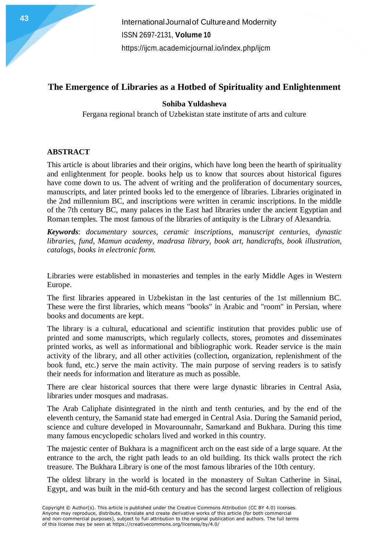### **The Emergence of Libraries as a Hotbed of Spirituality and Enlightenment**

### **Sohiba Yuldasheva**

Fergana regional branch of Uzbekistan state institute of arts and culture

#### **ABSTRACT**

This article is about libraries and their origins, which have long been the hearth of spirituality and enlightenment for people. books help us to know that sources about historical figures have come down to us. The advent of writing and the proliferation of documentary sources, manuscripts, and later printed books led to the emergence of libraries. Libraries originated in the 2nd millennium BC, and inscriptions were written in ceramic inscriptions. In the middle of the 7th century BC, many palaces in the East had libraries under the ancient Egyptian and Roman temples. The most famous of the libraries of antiquity is the Library of Alexandria.

*Keywords*: *documentary sources, ceramic inscriptions, manuscript centuries, dynastic libraries, fund, Mamun academy, madrasa library, book art, handicrafts, book illustration, catalogs, books in electronic form.*

Libraries were established in monasteries and temples in the early Middle Ages in Western Europe.

The first libraries appeared in Uzbekistan in the last centuries of the 1st millennium BC. These were the first libraries, which means "books" in Arabic and "room" in Persian, where books and documents are kept.

The library is a cultural, educational and scientific institution that provides public use of printed and some manuscripts, which regularly collects, stores, promotes and disseminates printed works, as well as informational and bibliographic work. Reader service is the main activity of the library, and all other activities (collection, organization, replenishment of the book fund, etc.) serve the main activity. The main purpose of serving readers is to satisfy their needs for information and literature as much as possible.

There are clear historical sources that there were large dynastic libraries in Central Asia, libraries under mosques and madrasas.

The Arab Caliphate disintegrated in the ninth and tenth centuries, and by the end of the eleventh century, the Samanid state had emerged in Central Asia. During the Samanid period, science and culture developed in Movarounnahr, Samarkand and Bukhara. During this time many famous encyclopedic scholars lived and worked in this country.

The majestic center of Bukhara is a magnificent arch on the east side of a large square. At the entrance to the arch, the right path leads to an old building. Its thick walls protect the rich treasure. The Bukhara Library is one of the most famous libraries of the 10th century.

The oldest library in the world is located in the monastery of Sultan Catherine in Sinai, Egypt, and was built in the mid-6th century and has the second largest collection of religious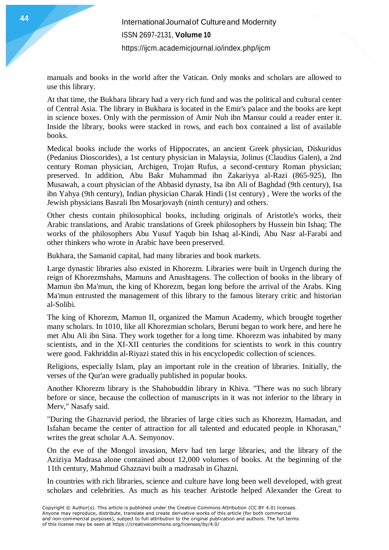manuals and books in the world after the Vatican. Only monks and scholars are allowed to use this library.

At that time, the Bukhara library had a very rich fund and was the political and cultural center of Central Asia. The library in Bukhara is located in the Emir's palace and the books are kept in science boxes. Only with the permission of Amir Nuh ibn Mansur could a reader enter it. Inside the library, books were stacked in rows, and each box contained a list of available books.

Medical books include the works of Hippocrates, an ancient Greek physician, Diskuridus (Pedanius Dioscorides), a 1st century physician in Malaysia, Jolinus (Claudius Galen), a 2nd century Roman physician, Archigen, Trojan Rufus, a second-century Roman physician; preserved. In addition, Abu Bakr Muhammad ibn Zakariyya al-Razi (865-925), Ibn Musawah, a court physician of the Abbasid dynasty, Isa ibn Ali of Baghdad (9th century), Isa ibn Yahya (9th century), Indian physician Charak Hindi (1st century) , Were the works of the Jewish physicians Basrali Ibn Mosarjovayh (ninth century) and others.

Other chests contain philosophical books, including originals of Aristotle's works, their Arabic translations, and Arabic translations of Greek philosophers by Hussein bin Ishaq; The works of the philosophers Abu Yusuf Yaqub bin Ishaq al-Kindi, Abu Nasr al-Farabi and other thinkers who wrote in Arabic have been preserved.

Bukhara, the Samanid capital, had many libraries and book markets.

Large dynastic libraries also existed in Khorezm. Libraries were built in Urgench during the reign of Khorezmshahs, Mamuns and Anushtagens. The collection of books in the library of Mamun ibn Ma'mun, the king of Khorezm, began long before the arrival of the Arabs. King Ma'mun entrusted the management of this library to the famous literary critic and historian al-Solibi.

The king of Khorezm, Mamun II, organized the Mamun Academy, which brought together many scholars. In 1010, like all Khorezmian scholars, Beruni began to work here, and here he met Abu Ali ibn Sina. They work together for a long time. Khorezm was inhabited by many scientists, and in the XI-XII centuries the conditions for scientists to work in this country were good. Fakhriddin al-Riyazi stated this in his encyclopedic collection of sciences.

Religions, especially Islam, play an important role in the creation of libraries. Initially, the verses of the Qur'an were gradually published in popular books.

Another Khorezm library is the Shahobuddin library in Khiva. "There was no such library before or since, because the collection of manuscripts in it was not inferior to the library in Merv," Nasafy said.

"During the Ghaznavid period, the libraries of large cities such as Khorezm, Hamadan, and Isfahan became the center of attraction for all talented and educated people in Khorasan," writes the great scholar A.A. Semyonov.

On the eve of the Mongol invasion, Merv had ten large libraries, and the library of the Aziziya Madrasa alone contained about 12,000 volumes of books. At the beginning of the 11th century, Mahmud Ghaznavi built a madrasah in Ghazni.

In countries with rich libraries, science and culture have long been well developed, with great scholars and celebrities. As much as his teacher Aristotle helped Alexander the Great to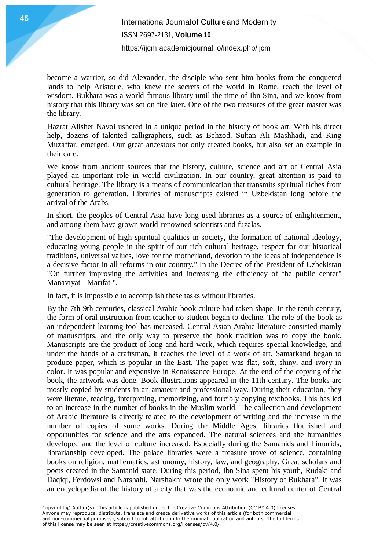become a warrior, so did Alexander, the disciple who sent him books from the conquered lands to help Aristotle, who knew the secrets of the world in Rome, reach the level of wisdom. Bukhara was a world-famous library until the time of Ibn Sina, and we know from history that this library was set on fire later. One of the two treasures of the great master was the library.

Hazrat Alisher Navoi ushered in a unique period in the history of book art. With his direct help, dozens of talented calligraphers, such as Behzod, Sultan Ali Mashhadi, and King Muzaffar, emerged. Our great ancestors not only created books, but also set an example in their care.

We know from ancient sources that the history, culture, science and art of Central Asia played an important role in world civilization. In our country, great attention is paid to cultural heritage. The library is a means of communication that transmits spiritual riches from generation to generation. Libraries of manuscripts existed in Uzbekistan long before the arrival of the Arabs.

In short, the peoples of Central Asia have long used libraries as a source of enlightenment, and among them have grown world-renowned scientists and fuzalas.

"The development of high spiritual qualities in society, the formation of national ideology, educating young people in the spirit of our rich cultural heritage, respect for our historical traditions, universal values, love for the motherland, devotion to the ideas of independence is a decisive factor in all reforms in our country." In the Decree of the President of Uzbekistan "On further improving the activities and increasing the efficiency of the public center" Manaviyat - Marifat ".

In fact, it is impossible to accomplish these tasks without libraries.

By the 7th-9th centuries, classical Arabic book culture had taken shape. In the tenth century, the form of oral instruction from teacher to student began to decline. The role of the book as an independent learning tool has increased. Central Asian Arabic literature consisted mainly of manuscripts, and the only way to preserve the book tradition was to copy the book. Manuscripts are the product of long and hard work, which requires special knowledge, and under the hands of a craftsman, it reaches the level of a work of art. Samarkand began to produce paper, which is popular in the East. The paper was flat, soft, shiny, and ivory in color. It was popular and expensive in Renaissance Europe. At the end of the copying of the book, the artwork was done. Book illustrations appeared in the 11th century. The books are mostly copied by students in an amateur and professional way. During their education, they were literate, reading, interpreting, memorizing, and forcibly copying textbooks. This has led to an increase in the number of books in the Muslim world. The collection and development of Arabic literature is directly related to the development of writing and the increase in the number of copies of some works. During the Middle Ages, libraries flourished and opportunities for science and the arts expanded. The natural sciences and the humanities developed and the level of culture increased. Especially during the Samanids and Timurids, librarianship developed. The palace libraries were a treasure trove of science, containing books on religion, mathematics, astronomy, history, law, and geography. Great scholars and poets created in the Samanid state. During this period, Ibn Sina spent his youth, Rudaki and Daqiqi, Ferdowsi and Narshahi. Narshakhi wrote the only work "History of Bukhara". It was an encyclopedia of the history of a city that was the economic and cultural center of Central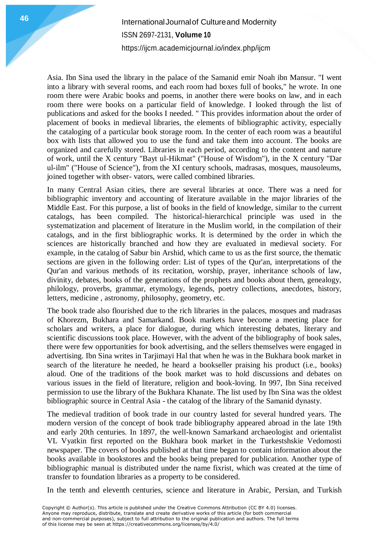# **International Journal of Cultureand Modernity** ISSN 2697-2131, **Volume 10** <https://ijcm.academicjournal.io/index.php/ijcm>

Asia. Ibn Sina used the library in the palace of the Samanid emir Noah ibn Mansur. "I went into a library with several rooms, and each room had boxes full of books," he wrote. In one room there were Arabic books and poems, in another there were books on law, and in each room there were books on a particular field of knowledge. I looked through the list of publications and asked for the books I needed. " This provides information about the order of placement of books in medieval libraries, the elements of bibliographic activity, especially the cataloging of a particular book storage room. In the center of each room was a beautiful box with lists that allowed you to use the fund and take them into account. The books are organized and carefully stored. Libraries in each period, according to the content and nature of work, until the X century "Bayt ul-Hikmat" ("House of Wisdom"), in the X century "Dar ul-ilm" ("House of Science"), from the XI century schools, madrasas, mosques, mausoleums, joined together with obser- vators, were called combined libraries.

In many Central Asian cities, there are several libraries at once. There was a need for bibliographic inventory and accounting of literature available in the major libraries of the Middle East. For this purpose, a list of books in the field of knowledge, similar to the current catalogs, has been compiled. The historical-hierarchical principle was used in the systematization and placement of literature in the Muslim world, in the compilation of their catalogs, and in the first bibliographic works. It is determined by the order in which the sciences are historically branched and how they are evaluated in medieval society. For example, in the catalog of Sabur bin Arshid, which came to us as the first source, the thematic sections are given in the following order: List of types of the Qur'an, interpretations of the Qur'an and various methods of its recitation, worship, prayer, inheritance schools of law, divinity, debates, books of the generations of the prophets and books about them, genealogy, philology, proverbs, grammar, etymology, legends, poetry collections, anecdotes, history, letters, medicine , astronomy, philosophy, geometry, etc.

The book trade also flourished due to the rich libraries in the palaces, mosques and madrasas of Khorezm, Bukhara and Samarkand. Book markets have become a meeting place for scholars and writers, a place for dialogue, during which interesting debates, literary and scientific discussions took place. However, with the advent of the bibliography of book sales, there were few opportunities for book advertising, and the sellers themselves were engaged in advertising. Ibn Sina writes in Tarjimayi Hal that when he was in the Bukhara book market in search of the literature he needed, he heard a bookseller praising his product (i.e., books) aloud. One of the traditions of the book market was to hold discussions and debates on various issues in the field of literature, religion and book-loving. In 997, Ibn Sina received permission to use the library of the Bukhara Khanate. The list used by Ibn Sina was the oldest bibliographic source in Central Asia - the catalog of the library of the Samanid dynasty.

The medieval tradition of book trade in our country lasted for several hundred years. The modern version of the concept of book trade bibliography appeared abroad in the late 19th and early 20th centuries. In 1897, the well-known Samarkand archaeologist and orientalist VL Vyatkin first reported on the Bukhara book market in the Turkestshskie Vedomosti newspaper. The covers of books published at that time began to contain information about the books available in bookstores and the books being prepared for publication. Another type of bibliographic manual is distributed under the name fixrist, which was created at the time of transfer to foundation libraries as a property to be considered.

In the tenth and eleventh centuries, science and literature in Arabic, Persian, and Turkish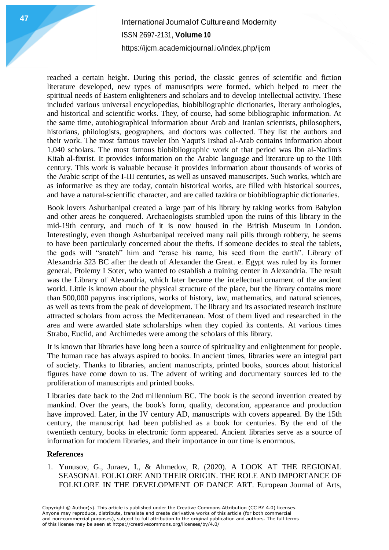## **International Journal of Cultureand Modernity** ISSN 2697-2131, **Volume 10** <https://ijcm.academicjournal.io/index.php/ijcm>

reached a certain height. During this period, the classic genres of scientific and fiction literature developed, new types of manuscripts were formed, which helped to meet the spiritual needs of Eastern enlighteners and scholars and to develop intellectual activity. These included various universal encyclopedias, biobibliographic dictionaries, literary anthologies, and historical and scientific works. They, of course, had some bibliographic information. At the same time, autobiographical information about Arab and Iranian scientists, philosophers, historians, philologists, geographers, and doctors was collected. They list the authors and their work. The most famous traveler Ibn Yaqut's Irshad al-Arab contains information about 1,040 scholars. The most famous biobibliographic work of that period was Ibn al-Nadim's Kitab al-fixrist. It provides information on the Arabic language and literature up to the 10th century. This work is valuable because it provides information about thousands of works of the Arabic script of the I-III centuries, as well as unsaved manuscripts. Such works, which are as informative as they are today, contain historical works, are filled with historical sources, and have a natural-scientific character, and are called tazkira or biobibliographic dictionaries.

Book lovers Ashurbanipal created a large part of his library by taking works from Babylon and other areas he conquered. Archaeologists stumbled upon the ruins of this library in the mid-19th century, and much of it is now housed in the British Museum in London. Interestingly, even though Ashurbanipal received many nail pills through robbery, he seems to have been particularly concerned about the thefts. If someone decides to steal the tablets, the gods will "snatch" him and "erase his name, his seed from the earth". Library of Alexandria 323 BC after the death of Alexander the Great. e. Egypt was ruled by its former general, Ptolemy I Soter, who wanted to establish a training center in Alexandria. The result was the Library of Alexandria, which later became the intellectual ornament of the ancient world. Little is known about the physical structure of the place, but the library contains more than 500,000 papyrus inscriptions, works of history, law, mathematics, and natural sciences, as well as texts from the peak of development. The library and its associated research institute attracted scholars from across the Mediterranean. Most of them lived and researched in the area and were awarded state scholarships when they copied its contents. At various times Strabo, Euclid, and Archimedes were among the scholars of this library.

It is known that libraries have long been a source of spirituality and enlightenment for people. The human race has always aspired to books. In ancient times, libraries were an integral part of society. Thanks to libraries, ancient manuscripts, printed books, sources about historical figures have come down to us. The advent of writing and documentary sources led to the proliferation of manuscripts and printed books.

Libraries date back to the 2nd millennium BC. The book is the second invention created by mankind. Over the years, the book's form, quality, decoration, appearance and production have improved. Later, in the IV century AD, manuscripts with covers appeared. By the 15th century, the manuscript had been published as a book for centuries. By the end of the twentieth century, books in electronic form appeared. Ancient libraries serve as a source of information for modern libraries, and their importance in our time is enormous.

#### **References**

1. Yunusov, G., Juraev, I., & Ahmedov, R. (2020). A LOOK AT THE REGIONAL SEASONAL FOLKLORE AND THEIR ORIGIN. THE ROLE AND IMPORTANCE OF FOLKLORE IN THE DEVELOPMENT OF DANCE ART. European Journal of Arts,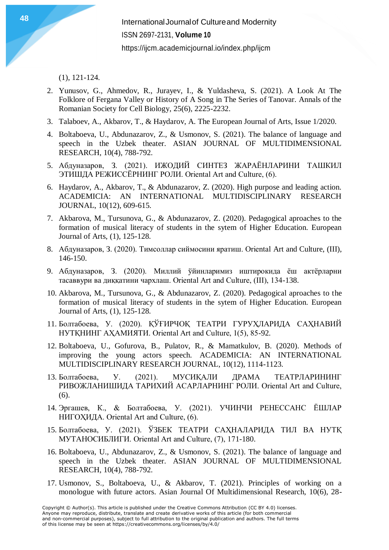(1), 121-124.

- 2. Yunusov, G., Ahmedov, R., Jurayev, I., & Yuldasheva, S. (2021). A Look At The Folklore of Fergana Valley or History of A Song in The Series of Tanovar. Annals of the Romanian Society for Cell Biology, 25(6), 2225-2232.
- 3. Talaboev, A., Akbarov, T., & Haydarov, A. The European Journal of Arts, Issue 1/2020.
- 4. Boltaboeva, U., Abdunazarov, Z., & Usmonov, S. (2021). The balance of language and speech in the Uzbek theater. ASIAN JOURNAL OF MULTIDIMENSIONAL RESEARCH, 10(4), 788-792.
- 5. Абдуназаров, З. (2021). ИЖОДИЙ СИНТЕЗ ЖАРАЁНЛАРИНИ ТАШКИЛ ЭТИШДА РЕЖИССЁРНИНГ РОЛИ. Oriental Art and Culture, (6).
- 6. Haydarov, A., Akbarov, T., & Abdunazarov, Z. (2020). High purpose and leading action. ACADEMICIA: AN INTERNATIONAL MULTIDISCIPLINARY RESEARCH JOURNAL, 10(12), 609-615.
- 7. Akbarova, M., Tursunova, G., & Abdunazarov, Z. (2020). Pedagogical aproaches to the formation of musical literacy of students in the sytem of Higher Education. European Journal of Arts, (1), 125-128.
- 8. Абдуназаров, З. (2020). Тимсоллар сиймосини яратиш. Oriental Art and Culture, (III), 146-150.
- 9. Абдуназаров, З. (2020). Миллий ўйинларимиз иштирокида ёш актёрларни тасаввури ва диққатини чархлаш. Oriental Art and Culture, (III), 134-138.
- 10. Akbarova, M., Tursunova, G., & Abdunazarov, Z. (2020). Pedagogical aproaches to the formation of musical literacy of students in the sytem of Higher Education. European Journal of Arts, (1), 125-128.
- 11. Болтабоева, У. (2020). ҚЎҒИРЧОҚ ТЕАТРИ ГУРУҲЛАРИДА САҲНАВИЙ НУТҚНИНГ АҲАМИЯТИ. Oriental Art and Culture, 1(5), 85-92.
- 12. Boltaboeva, U., Gofurova, B., Pulatov, R., & Mamatkulov, B. (2020). Methods of improving the young actors speech. ACADEMICIA: AN INTERNATIONAL MULTIDISCIPLINARY RESEARCH JOURNAL, 10(12), 1114-1123.
- 13. Болтабоева, У. (2021). МУСИҚАЛИ ДРАМА ТЕАТРЛАРИНИНГ РИВОЖЛАНИШИДА ТАРИХИЙ АСАРЛАРНИНГ РОЛИ. Oriental Art and Culture, (6).
- 14. Эргашев, К., & Болтабоева, У. (2021). УЧИНЧИ РЕНЕССАНС ЁШЛАР НИГОҲИДА. Oriental Art and Culture, (6).
- 15. Болтабоева, У. (2021). ЎЗБЕК ТЕАТРИ САҲНАЛАРИДА ТИЛ ВА НУТҚ МУТАНОСИБЛИГИ. Oriental Art and Culture, (7), 171-180.
- 16. Boltaboeva, U., Abdunazarov, Z., & Usmonov, S. (2021). The balance of language and speech in the Uzbek theater. ASIAN JOURNAL OF MULTIDIMENSIONAL RESEARCH, 10(4), 788-792.
- 17. Usmonov, S., Boltaboeva, U., & Akbarov, T. (2021). Principles of working on a monologue with future actors. Asian Journal Of Multidimensional Research, 10(6), 28-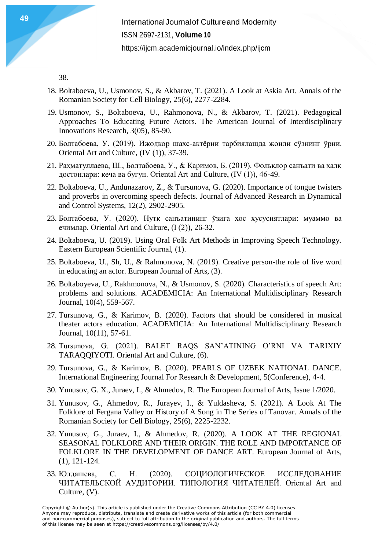38.

- 18. Boltaboeva, U., Usmonov, S., & Akbarov, T. (2021). A Look at Askia Art. Annals of the Romanian Society for Cell Biology, 25(6), 2277-2284.
- 19. Usmonov, S., Boltaboeva, U., Rahmonova, N., & Akbarov, T. (2021). Pedagogical Approaches To Educating Future Actors. The American Journal of Interdisciplinary Innovations Research, 3(05), 85-90.
- 20. Болтабоева, У. (2019). Ижодкор шахс-актёрни тарбиялашда жонли сўзнинг ўрни. Oriental Art and Culture, (IV (1)), 37-39.
- 21. Раҳматуллаева, Ш., Болтабоева, У., & Каримов, Б. (2019). Фольклор санъати ва халқ достонлари: кеча ва бугун. Oriental Art and Culture, (IV (1)), 46-49.
- 22. Boltaboeva, U., Andunazarov, Z., & Tursunova, G. (2020). Importance of tongue twisters and proverbs in overcoming speech defects. Journal of Advanced Research in Dynamical and Control Systems, 12(2), 2902-2905.
- 23. Болтабоева, У. (2020). Нутқ санъатининг ўзига хос хусусиятлари: муаммо ва ечимлар. Oriental Art and Culture, (I (2)), 26-32.
- 24. Boltaboeva, U. (2019). Using Oral Folk Art Methods in Improving Speech Technology. Eastern European Scientific Journal, (1).
- 25. Boltaboeva, U., Sh, U., & Rahmonova, N. (2019). Creative person-the role of live word in educating an actor. European Journal of Arts, (3).
- 26. Boltaboyeva, U., Rakhmonova, N., & Usmonov, S. (2020). Characteristics of speech Art: problems and solutions. ACADEMICIA: An International Multidisciplinary Research Journal, 10(4), 559-567.
- 27. Tursunova, G., & Karimov, B. (2020). Factors that should be considered in musical theater actors education. ACADEMICIA: An International Multidisciplinary Research Journal, 10(11), 57-61.
- 28. Tursunova, G. (2021). BALET RAQS SAN'ATINING O'RNI VA TARIXIY TARAQQIYOTI. Oriental Art and Culture, (6).
- 29. Tursunova, G., & Karimov, B. (2020). PEARLS OF UZBEK NATIONAL DANCE. International Engineering Journal For Research & Development, 5(Conference), 4-4.
- 30. Yunusov, G. X., Juraev, I., & Ahmedov, R. The European Journal of Arts, Issue 1/2020.
- 31. Yunusov, G., Ahmedov, R., Jurayev, I., & Yuldasheva, S. (2021). A Look At The Folklore of Fergana Valley or History of A Song in The Series of Tanovar. Annals of the Romanian Society for Cell Biology, 25(6), 2225-2232.
- 32. Yunusov, G., Juraev, I., & Ahmedov, R. (2020). A LOOK AT THE REGIONAL SEASONAL FOLKLORE AND THEIR ORIGIN. THE ROLE AND IMPORTANCE OF FOLKLORE IN THE DEVELOPMENT OF DANCE ART. European Journal of Arts, (1), 121-124.
- 33. Юлдашева, С. Н. (2020). СОЦИОЛОГИЧЕСКОЕ ИССЛЕДОВАНИЕ ЧИТАТЕЛЬСКОЙ АУДИТОРИИ. ТИПОЛОГИЯ ЧИТАТЕЛЕЙ. Oriental Art and Culture, (V).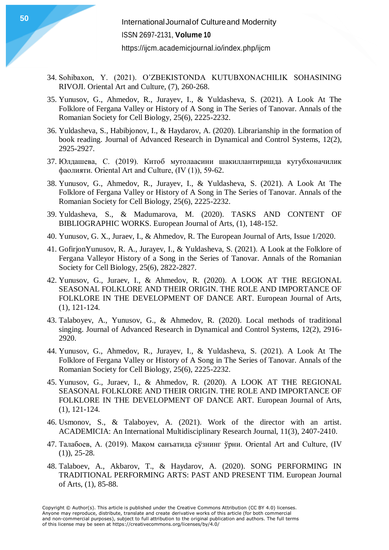- 34. Sohibaxon, Y. (2021). O'ZBEKISTONDA KUTUBXONACHILIK SOHASINING RIVOJI. Oriental Art and Culture, (7), 260-268.
- 35. Yunusov, G., Ahmedov, R., Jurayev, I., & Yuldasheva, S. (2021). A Look At The Folklore of Fergana Valley or History of A Song in The Series of Tanovar. Annals of the Romanian Society for Cell Biology, 25(6), 2225-2232.
- 36. Yuldasheva, S., Habibjonov, I., & Haydarov, A. (2020). Librarianship in the formation of book reading. Journal of Advanced Research in Dynamical and Control Systems, 12(2), 2925-2927.
- 37. Юлдашева, С. (2019). Китоб мутолаасини шакиллантиришда кутубхоначилик фаолияти. Oriental Art and Culture, (IV (1)), 59-62.
- 38. Yunusov, G., Ahmedov, R., Jurayev, I., & Yuldasheva, S. (2021). A Look At The Folklore of Fergana Valley or History of A Song in The Series of Tanovar. Annals of the Romanian Society for Cell Biology, 25(6), 2225-2232.
- 39. Yuldasheva, S., & Madumarova, M. (2020). TASKS AND CONTENT OF BIBLIOGRAPHIC WORKS. European Journal of Arts, (1), 148-152.
- 40. Yunusov, G. X., Juraev, I., & Ahmedov, R. The European Journal of Arts, Issue 1/2020.
- 41. GofirjonYunusov, R. A., Jurayev, I., & Yuldasheva, S. (2021). A Look at the Folklore of Fergana Valleyor History of a Song in the Series of Tanovar. Annals of the Romanian Society for Cell Biology, 25(6), 2822-2827.
- 42. Yunusov, G., Juraev, I., & Ahmedov, R. (2020). A LOOK AT THE REGIONAL SEASONAL FOLKLORE AND THEIR ORIGIN. THE ROLE AND IMPORTANCE OF FOLKLORE IN THE DEVELOPMENT OF DANCE ART. European Journal of Arts, (1), 121-124.
- 43. Talaboyev, A., Yunusov, G., & Ahmedov, R. (2020). Local methods of traditional singing. Journal of Advanced Research in Dynamical and Control Systems, 12(2), 2916- 2920.
- 44. Yunusov, G., Ahmedov, R., Jurayev, I., & Yuldasheva, S. (2021). A Look At The Folklore of Fergana Valley or History of A Song in The Series of Tanovar. Annals of the Romanian Society for Cell Biology, 25(6), 2225-2232.
- 45. Yunusov, G., Juraev, I., & Ahmedov, R. (2020). A LOOK AT THE REGIONAL SEASONAL FOLKLORE AND THEIR ORIGIN. THE ROLE AND IMPORTANCE OF FOLKLORE IN THE DEVELOPMENT OF DANCE ART. European Journal of Arts, (1), 121-124.
- 46. Usmonov, S., & Talaboyev, A. (2021). Work of the director with an artist. ACADEMICIA: An International Multidisciplinary Research Journal, 11(3), 2407-2410.
- 47. Талабоев, А. (2019). Мақом санъатида сўзнинг ўрни. Oriental Art and Culture, (IV (1)), 25-28.
- 48. Talaboev, A., Akbarov, T., & Haydarov, A. (2020). SONG PERFORMING IN TRADITIONAL PERFORMING ARTS: PAST AND PRESENT TIM. European Journal of Arts, (1), 85-88.